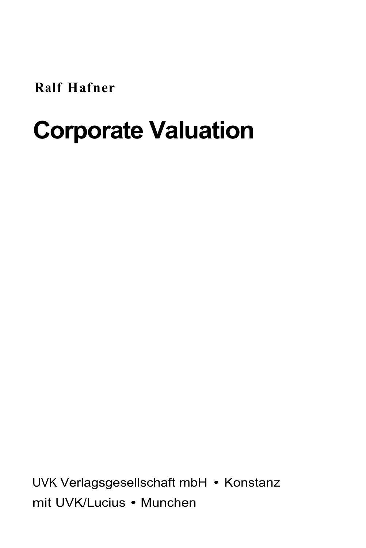**Ralf Hafner** 

## **Corporate Valuation**

UVK Verlagsgesellschaft mbH • Konstanz mit UVK/Lucius • Munchen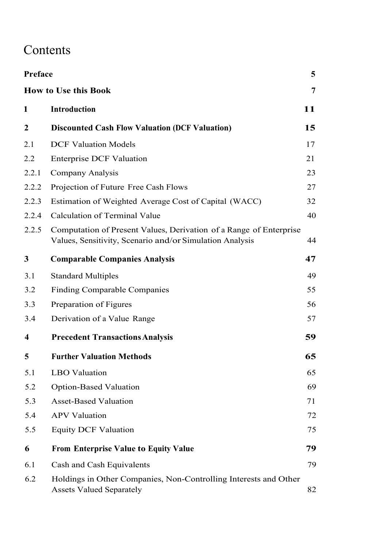## Contents

| Preface |                                                                                                                                | 5  |
|---------|--------------------------------------------------------------------------------------------------------------------------------|----|
|         | <b>How to Use this Book</b>                                                                                                    | 7  |
| 1       | <b>Introduction</b>                                                                                                            | 11 |
| 2       | <b>Discounted Cash Flow Valuation (DCF Valuation)</b>                                                                          | 15 |
| 2.1     | <b>DCF Valuation Models</b>                                                                                                    | 17 |
| 2.2     | <b>Enterprise DCF Valuation</b>                                                                                                | 21 |
| 2.2.1   | Company Analysis                                                                                                               | 23 |
| 2.2.2   | Projection of Future Free Cash Flows                                                                                           | 27 |
| 2.2.3   | Estimation of Weighted Average Cost of Capital (WACC)                                                                          | 32 |
| 2.2.4   | Calculation of Terminal Value                                                                                                  | 40 |
| 2.2.5   | Computation of Present Values, Derivation of a Range of Enterprise<br>Values, Sensitivity, Scenario and/or Simulation Analysis | 44 |
| 3       | <b>Comparable Companies Analysis</b>                                                                                           | 47 |
| 3.1     | <b>Standard Multiples</b>                                                                                                      | 49 |
| 3.2     | Finding Comparable Companies                                                                                                   | 55 |
| 3.3     | Preparation of Figures                                                                                                         | 56 |
| 3.4     | Derivation of a Value Range                                                                                                    | 57 |
| 4       | <b>Precedent Transactions Analysis</b>                                                                                         | 59 |
| 5       | <b>Further Valuation Methods</b>                                                                                               | 65 |
| 5.1     | <b>LBO</b> Valuation                                                                                                           | 65 |
| 5.2     | Option-Based Valuation                                                                                                         | 69 |
| 5.3     | <b>Asset-Based Valuation</b>                                                                                                   | 71 |
| 5.4     | <b>APV</b> Valuation                                                                                                           | 72 |
| 5.5     | <b>Equity DCF Valuation</b>                                                                                                    | 75 |
| 6       | <b>From Enterprise Value to Equity Value</b>                                                                                   | 79 |
| 6.1     | Cash and Cash Equivalents                                                                                                      | 79 |
| 6.2     | Holdings in Other Companies, Non-Controlling Interests and Other<br><b>Assets Valued Separately</b>                            | 82 |